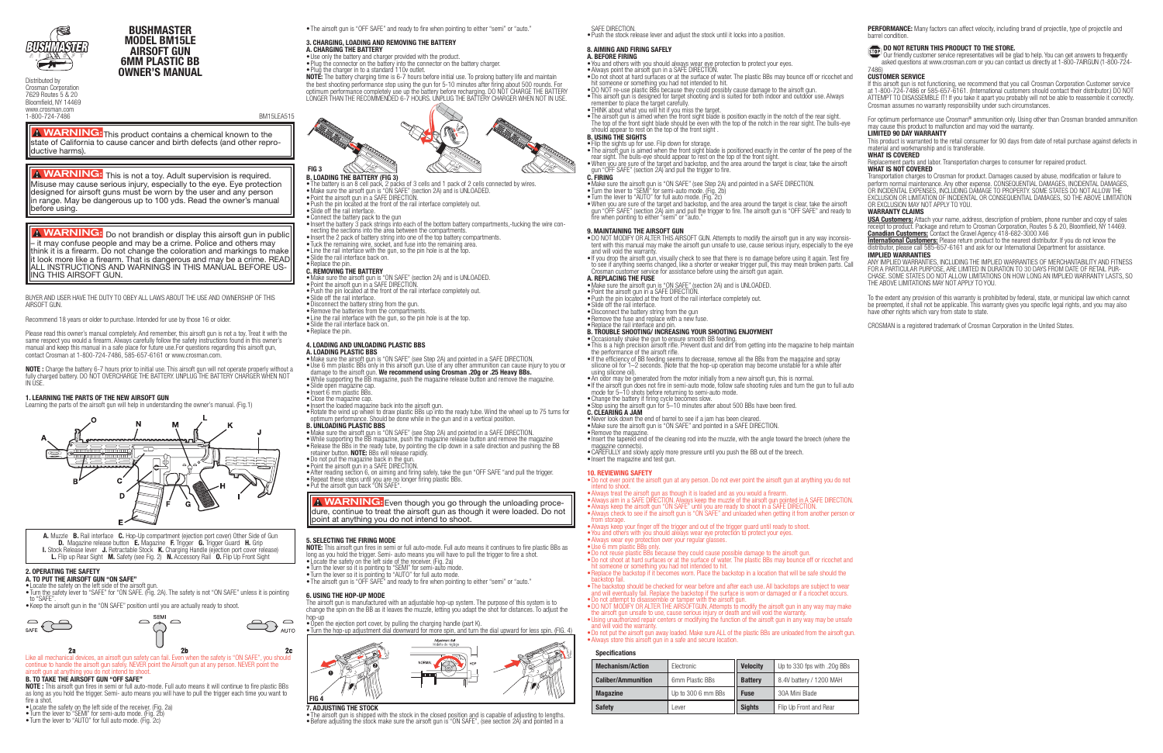

## **BUSHMASTER Model BM15LE Airsoft Gun 6mm Plastic BB OWNER'S MANUAL**

Distributed by Crosman Corporation 7629 Routes 5 & 20 Bloomfield, NY 14469 www.crosman.com 1-800-724-7486 BM15LEA515

WARNING: This product contains a chemical known to the state of California to cause cancer and birth defects (and other reproductive harms).

WARNING: This is not a toy. Adult supervision is required. Misuse may cause serious injury, especially to the eye. Eye protection designed for airsoft guns must be worn by the user and any person in range. May be dangerous up to 100 yds. Read the owner's manual before using.

## **WARNING:** Do not brandish or display this airsoft gun in public – it may confuse people and may be a crime. Police and others may think it is a firearm. Do not change the coloration and markings to make it look more like a firearm. That is dangerous and may be a crime. READ ALL INSTRUCTIONS AND WARNINGS IN THIS MANUAL BEFORE US-ING THIS AIRSOFT GUN.

**NOTE :** Charge the battery 6-7 hours prior to initial use. This airsoft gun will not operate properly without a fully charged battery. DO NOT OVERCHARGE THE BATTERY. UNPLUG THE BATTERY CHARGER WHEN NOT **IN USE** 

BUYER AND USER HAVE THE DUTY TO OBEY ALL LAWS ABOUT THE USE AND OWNERSHIP OF THIS AIRSOFT GUN.

Recommend 18 years or older to purchase. Intended for use by those 16 or older.

**2. OPERATING THE SAFETY A. TO PUT THE AIRSOFT GUIT CIT CITE.**<br>• Locate the safety on the left side of the airsoft gun.

• Turn the safety lever to "SAFE" for "ON SAFE. (Fig. 2A). The safety is not "ON SAFE" unless it is pointing

Please read this owner's manual completely. And remember, this airsoft gun is not a toy. Treat it with the same respect you would a firearm. Always carefully follow the safety instructions found in this owner's manual and keep this manual in a safe place for future use.For questions regarding this airsoft gun, contact Crosman at 1-800-724-7486, 585-657-6161 or www.crosman.com.

 $2<sub>b</sub>$ **2a**  $2c$ Like all mechanical devices, an airsoft gun safety can fail. Even when the safety is "ON SAFE", you should continue to handle the airsoft gun safely. NEVER point the Airsoft gun at any person. NEVER point the airsoft gun at anything you do not intend to shoot. **B. TO TAKE THE AIRSOFT GUN "OFF SAFE"**

## **1. LEARNING THE PARTS OF THE NEW AIRSOFT GUN**

**NOTE:** The battery charging time is 6-7 hours before initial use. To prolong battery life and maintain the best shooting performance stop using the gun for 5-10 minutes after firing about 500 rounds. For optimum performance completely use up the battery before recharging. DO NOT CHARGE THE BATTERY<br>LONGER THAN THE RECOMMENDED 6-7 HOURS. UNPLUG THE BATTERY CHARGER WHEN NOT IN USE.

Learning the parts of the airsoft gun will help in understanding the owner's manual. (Fig.1)



**A.** Muzzle **B.** Rail interface **C.** Hop-Up compartment (ejection port cover) Other Side of Gun **D.** Magazine release button **E.** Magazine **F.** Trigger **G.** Trigger Guard **H.** Grip **I.** Stock Release lever **J.** Retractable Stock **K.** Charging Handle (ejection port cover release) **L.** Flip up Rear Sight **M.** Safety (see Fig. 2) **N.** Accessory Rail **O.** Flip Up Front Sight

to "SAFE". • Keep the airsoft gun in the "ON SAFE" position until you are actually ready to shoot.



- **C. REMOVING THE BATTERY**<br>• Make sure the airsoft gun is "ON SAFE" (section 2A) and is UNLOADED.<br>• Point the airsoft gun in a SAFE DIRECTION.
- 
- Push the pin located at the front of the rail interface completely out.
- • Slide off the rail interface.
- • Disconnect the battery string from the gun. • Remove the batteries from the compartments.
- • Line the rail interface with the gun, so the pin hole is at the top.
- Slide the rail interface back on.
- • Replace the pin.

**NOTE :** This airsoft gun fires in semi or full auto-mode. Full auto means it will continue to fire plastic BBs as long as you hold the trigger. Semi- auto means you will have to pull the trigger each time you want to fire a shot.

- Locate the safety on the left side of the receiver. (Fig. 2a)
- Turn the lever to "SEMI" for semi-auto mode. (Fig. 2b)
- Turn the lever to "AUTO" for full auto mode. (Fig. 2c)

• The airsoft gun is "OFF SAFE" and ready to fire when pointing to either "semi" or "auto."

- 
- **B. UNLOADING PLASTIC BBS**<br>• Make sure the airsoft gun is "ON SAFE" (see Step 2A) and pointed in a SAFE DIRECTION.<br>• While supporting the BB magazine, push the magazine release button and remove the magazine • Release the BBs in the ready tube, by pointing the clip down in a safe direction and pushing the BB retainer button. NOTE: BBs will release rapidly.
- 
- Do not put the magazine back in the gun.
- • Point the airsoft gun in a SAFE DIRECTION.

●After reading section 6, on aiming and firing safely, take the gun "OFF SAFE "and pull the trigger.<br>●Repeat these steps until you are no longer firing plastic BBs.<br>●Put the airsoft gun back "ON SAFE".

# **3. CHARGING, LOADING AND REMOVING THE BATTERY**

- $\bullet$  Use only the battery and charger provided with the product. • Plug the connector on the battery into the connector on the battery charger.
- the charger in to a standard 110v outlet.

WARNING: Even though you go through the unloading procedure, continue to treat the airsoft gun as though it were loaded. Do not point at anything you do not intend to shoot.

**NOTE:** This airsoft gun fires in semi or full auto-mode. Full auto means it continues to fire plastic BBs as long as you hold the trigger. Semi- auto means you will have to pull the trigger to fire a shot. • Locate the safety on the left side of the receiver. (Fig. 2a)

- 
- 
- Turn the lever só it is pointing to "SEMI" for semi-`auto mode.<br>● Turn the lever so it is pointing to "AUTO" for full auto mode.<br>● The airsoft gun is "OFF SAFE" and ready to fire when pointing to either "semi" or "auto



- **B. LOADING THE BATTERY (FIG 3)**<br>• The battery is an 8 cell pack, 2 packs of 3 cells and 1 pack of 2 cells connected by wires.<br>• Make sure the airsoft gun is "ON SAFE" (section 2A) and is UNLOADED.
- • Point the airsoft gun in a SAFE DIRECTION.
- • Push the pin located at the front of the rail interface completely out.
- Slide off the rail interface.
- 
- • Connect the battery pack to the gun • Insert the battery 3 pack strings into each of the bottom battery compartments,-tucking the wire con- necting the sections into the area between the compartments. • Insert the 2 pack of battery string into one of the top battery compartments.
- 
- Tuck the remaining wire, socket, and fuse into the remaining area.
- Line the rail interface with the gun, so the pin hole is at the top.
- Slide the rail interface back on.

# • Replace the pin.<br>C. REMOVING THE BATTERY

**7. ADJUSTING THE STOCK**<br>• The airsoft gun is shipped with the stock in the closed position and is capable of adjusting to lengths • Before adjusting the stock make sure the airsoft gun is "ON SAFE", (see section 2A) and pointed in a

SAFE DIRECTION. • Fush the stock release lever and adjust the stock until it locks into a position.

- **8. Aiming and Firing Safely**
- 
- 
- **A. BEFORE FIRING**<br>● You and others with you should always wear eye protection to protect your eyes.<br>● Always point the airsoft gun in a SAFE DIRECTION.<br>● Do not shoot at hard surfaces or at the surface of water. The plas
- hit someone or something you had not intended to hit.
- • DO NOT re-use plastic BBs because they could possibly cause damage to the airsoft gun. • This airsoft gun is designed for target shooting and is suited for both indoor and outdoor use. Always remember to place the target carefully.
- 
- • THINK about what you will hit if you miss the target. • The airsoft gun is aimed when the front sight blade is position exactly in the notch of the rear sight.
- The top of the front sight blade should be even with the top of the notch in the rear sight. The bulls-eye should appear to rest on the top of the front sight **B. USING THE SIGHTS**
- 
- **B. B. USING THE STATTS**<br>• Flip the sights up for use. Flip down for storage.

**A. REPLACING THE FUSE**<br>• Make sure the airsoft gun is "ON SAFE" (section 2A) and is UNLOADED.<br>• Point the airsoft gun in a SAFE DIRECTION. • Push the pin located at the front of the rail interface completely out.

**B. TROUBLE SHOOTING/ INCREASING YOUR SHOOTING ENJOYMENT** • Occasionally shake the gun to ensure smooth BB feeding.

- 
- • Turn the lever to "AUTO" for full auto mode. (Fig. 2c) • When you are sure of the target and backstop, and the area around the target is clear, take the airsoft

# **4. Loading and Unloading Plastic BBs**

# **•** Make sure the airsoft gun is "ON SAFE" (see Step 2A) and pointed in a SAFE DIRECTION.

- Use 6 mm plastic BBs only in this airsoft gun. Use of any other ammunition can cause injury to you or damage to the airsoft gun. We recommend using Crosman .20g or .25 Heavy BBs.
- **While supporting the BB magazine, push the magazine release button and remove the magazine** • Slide open magazine cap.
- Insert 6 mm plastic BBs.
- Close the magazine cap.
- 
- Insert the loaded magazine back into the airsoft gun.<br>• Rotate the wind up wheel to draw plastic BBs up into the ready tube. Wind the wheel up to 75 turns for<br>• optimum performance. Should be done while in the gun and in

• Always keep your finger off the trigger and out of the trigger guard until ready to shoot. • You and others with you should always wear eye protection to protect your eyes. • Always wear eye protection over your regular glasses.

**•** Never look down the end of barrel to see if a jam has been cleared. • Make sure the airsoft gun is "ON SAFE" and pointed in a SAFE DIRECTION.

- gun "OFF SAFE" (section 2A) and pull the trigger to fire.<br>**C. FIRING C. FIRING**<br>• Make sure the airsoft gun is "ON SAFE" (see Step 2A) and pointed in a SAFE DIRECTION.<br>• Turn the lever to "SEMI" for semi-auto mode. (Fig. 2b)
- 
- 

### **5. SELECTING THE FIRING MODE**

• Do not reuse plastic BBs because they could cause possible damage to the airsoft gun.<br>• Do not shoot at hard surfaces or at the surface of water. The plastic BBs may bounce off or ricochet and<br>hit someone or something yo • Replace the backstop if it becomes worn. Place the backstop in a location that will be safe should the backstop fail. • The backstop should be checked for wear before and after each use. All backstops are subject to wear and will eventually fail. Replace the backstop if the surface is worn or damaged or if a ricochet occurs.<br>● Do not attempt to disassemble or tamper with the airsoft gun.<br>● DO NOT MODIFY OR ALTER THE AIRSOFTGUN. Attempts t the airsoft gun unsafe to use, cause serious injury or death and will void the warranty. • Using unauthorized repair centers or modifying the function of the airsoft gun in any way may be unsafe

### **6. USING THE HOP-UP MODE**

The airsoft gun is manufactured with an adjustable hop-up system. The purpose of this system is to change the spin on the BB as it leaves the muzzle, letting you adapt the shot for distances. To adjust the hop-up

For optimum performance use Crosman® ammunition only. Using other than Crosman branded ammunition may cause this product to malfunction and may void the warranty.

• Open the ejection port cover, by pulling the charging handle (part K). • Turn the hop-up adjustment dial downward for more spin, and turn the dial upward for less spin. (FIG. 4)



 $\qquad \qquad \qquad \Box$ 

**International Customers:** Please return product to the nearest distributor. If you do not know the ise call 585-657-6161 and ask for our International Department for assistance. **IMPLIED WARRANTIES**

• The airsoft gun is aimed when the front sight blade is positioned exactly in the center of the peep of the rear sight. The bulls-eye should appear to rest on the top of the front sight. • When you are sure of the target and backstop, and the area around the target is clear, take the airsoft

gun "OFF SAFE" (section 2A) aim and pull the trigger to fire. The airsoft gun is "OFF SAFE" and ready to

9. MAINTAINING THE AIRSOFT GUN<br>• DO NOT MODIFY OR ALTER THIS AIRSOFT GUN. Attempts to modify the airsoft gun in any way inconsistent with this manual may make the airsoft gun unsafe to use, cause serious injury, especially

• If you drop the airsoft gun, visually check to see that there is no damage before using it again. Test fire to´see if anything seems changed, like a shorter or weaker trigger pull,̃ this may mean broken parts. Call<br>Crosman customer service for assistance before using the airsoft gun again.

. This is a high precision airsoft rifle. Prevent dust and dirt from getting into the magazine to help maintain

fire when pointing to either "semi" or "auto."

• Disconnect the battery string from the gun • Becommode the battery caming nothing to gain • Replace the rail interface and pin.

• Change the battery if firing cycle becomes slow.

and will void the warranty.

• Slide off the rail interface.

the performance of the airsoft rifle.

using silicone oil).

• Remove the magazine

• If the airsoft gun does not fire in semi-auto mode, follow safe shooting rules and turn the gun to full auto mode for 5–10 shots before returning to semi-auto mode.

• Insert the tapered end of the cleaning rod into the muzzle, with the angle toward the breech (where the

**10. REVIEWING SAFETY**<br>• Do not ever point the airsoft gun at any person. Do not ever point the airsoft gun at anything you do not

intend to shoot.<br>● Always treat the airsoft gun as though it is loaded and as you would a firearm.<br>● Always aim in a SAFE DIRECTION. Always keep the muzzle of the airsoft gun pointed in A SAFE DIRECTION.<br>● Always keep the • Always check to see if the airsoft gun is "ON SAFE" and unloaded when getting it from another person or

magazine connects). • CAREFULLY and slowly apply more pressure until you push the BB out of the breech.

from storage.

• Use 6 mm plastic BBs only.

and will void the warranty.

• Do not put the airsoft gun away loaded. Make sure ALL of the plastic BBs are unloaded from the airsoft gun. • Always store this airsoft gun in a safe and secure location.

**Mechanism/Action** Electronic **Velocity** Up to 330 fps with .20g BBs **Caliber/Ammunition** 6mm Plastic BBs **Battery** 8.4V battery / 1200 MAH **Magazine Up to 300 6 mm BBs <b>Fuse** 30A Mini Blade **Safety Safety Safety Example 2** Lever **Sights Flip Up Front and Rear** 

• If the efficiency of BB feeding seems to decrease, remove all the BBs from the magazine and spray silicone oil for 1-2 seconds. (Note that the hop-up operation may become unstable for a while after

• An odor may be generated from the motor initially from a new airsoft gun, this is normal

• Stop using the airsoft gun for 5–10 minutes after about 500 BBs have been fired.<br>C. CLEARING A JAM

**Specifications**

• Insert the magazine and test gun.

**PERFORMANCE:** Many factors can affect velocity, including brand of projectile, type of projectile and barrel condition.

# **STOP DO NOT RETURN THIS PRODUCT TO THE STORE.**

 Our friendly customer service representatives will be glad to help. You can get answers to frequently asked questions at www.crosman.com or you can contact us directly at 1-800-7AIRGUN (1-800-724- 7486)

## **CUSTOMER SERVICE**

If this airsoft gun is not functioning, we recommend that you call Crosman Corporation Customer service at 1-800-724-7486 or 585-657-6161. (International customers should contact their distributor.) DO NOT ATTEMPT TO DISASSEMBLE IT! If you take it apart you probably will not be able to reassemble it correctly. Crosman assumes no warranty responsibility under such circumstances.

## **LIMITED 90 DAY WARRANTY**

This product is warranted to the retail consumer for 90 days from date of retail purchase against defects in material and workmanship and is transferable.

# **WHAT IS COVERED**

Replacement parts and labor. Transportation charges to consumer for repaired product.

## **WHAT IS NOT COVERED**

Transportation charges to Crosman for product. Damages caused by abuse, modification or failure to perform normal maintenance. Any other expense. CONSEQUENTIAL DAMAGES, INCIDENTAL DAMAGES, OR INCIDENTAL EXPENSES, INCLUDING DAMAGE TO PROPERTY. SOME STATES DO NOT ALLOW THE EXCLUSION OR LIMITATION OF INCIDENTAL OR CONSEQUENTIAL DAMAGES, SO THE ABOVE LIMITATION OR EXCLUSION MAY NOT APPLY TO YOU.

## WARRANTY CLAIMS

**USA Customers:** Attach your name, address, description of problem, phone number and copy of sales receipt to product. Package and return to Crosman Corporation, Routes 5 & 20, Bloomfield, NY 14469. **Canadian Customers:** Contact the Gravel Agency 418-682-3000 X46

ANY IMPLIED WARRANTIES, INCLUDING THE IMPLIED WARRANTIES OF MERCHANTABILITY AND FITNESS FOR A PARTICULAR PURPOSE, ARE LIMITED IN DURATION TO 30 DAYS FROM DATE OF RETAIL PUR-CHASE. SOME STATES DO NOT ALLOW LIMITATIONS ON HOW LONG AN IMPLIED WARRANTY LASTS, SO THE ABOVE LIMITATIONS MAY NOT APPLY TO YOU.

To the extent any provision of this warranty is prohibited by federal, state, or municipal law which cannot be preempted, it shall not be applicable. This warranty gives you specific legal rights, and you may also have other rights which vary from state to state.

CROSMAN is a registered trademark of Crosman Corporation in the United States.